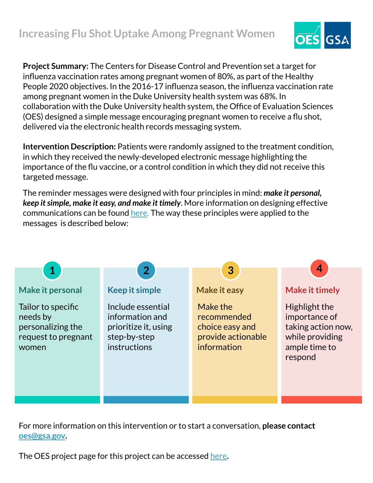

**Project Summary:** The Centers for Disease Control and Prevention set a target for influenza vaccination rates among pregnant women of 80%, as part of the Healthy People 2020 objectives. In the 2016-17 influenza season, the influenza vaccination rate among pregnant women in the Duke University health system was 68%. In collaboration with the Duke University health system, the Office of Evaluation Sciences (OES) designed a simple message encouraging pregnant women to receive a flu shot, delivered via the electronic health records messaging system.

**Intervention Description:** Patients were randomly assigned to the treatment condition, in which they received the newly-developed electronic message highlighting the importance of the flu vaccine, or a control condition in which they did not receive this targeted message.

The reminder messages were designed with four principles in mind: *make it personal, keep it simple, make it easy, and make it timely*. More information on designing effective communications can be found [here.](https://oes.gsa.gov/assets/abstracts/OES%20Learnings%20on%20Writing%20Better%20Communications%202018.pdf) The way these principles were applied to the messages is described below:



For more information on this intervention or to start a conversation, **please contact [oes@gsa.gov](mailto:oes@gsa.gov).**

The OES project page for this project can be accessed [here](https://oes.gsa.gov/projects/duke-maternal-flu-shots/)**.**